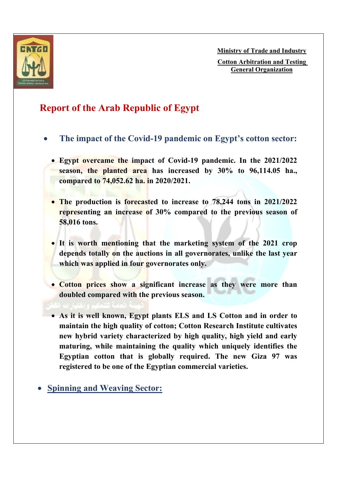

**Ministry of Trade and Industry**

**Cotton Arbitration and Testing General Organization**

## **Report of the Arab Republic of Egypt**

- **The impact of the Covid-19 pandemic on Egypt's cotton sector:** 
	- **Egypt overcame the impact of Covid-19 pandemic. In the 2021/2022 season, the planted area has increased by 30% to 96,114.05 ha., compared to 74,052.62 ha. in 2020/2021.**
	- **The production is forecasted to increase to 78,244 tons in 2021/2022 representing an increase of 30% compared to the previous season of 58,016 tons.**
	- **It is worth mentioning that the marketing system of the 2021 crop depends totally on the auctions in all governorates, unlike the last year which was applied in four governorates only.**
	- **Cotton prices show a significant increase as they were more than doubled compared with the previous season.**
	- **As it is well known, Egypt plants ELS and LS Cotton and in order to maintain the high quality of cotton; Cotton Research Institute cultivates new hybrid variety characterized by high quality, high yield and early maturing, while maintaining the quality which uniquely identifies the Egyptian cotton that is globally required. The new Giza 97 was registered to be one of the Egyptian commercial varieties.**
- **Spinning and Weaving Sector:**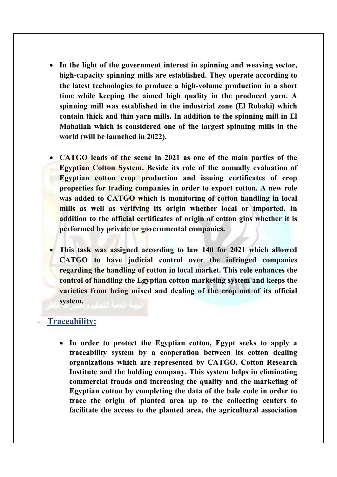- **In the light of the government interest in spinning and weaving sector, high-capacity spinning mills are established. They operate according to the latest technologies to produce a high-volume production in a short time while keeping the aimed high quality in the produced yarn. A spinning mill was established in the industrial zone (El Robaki) which contain thick and thin yarn mills. In addition to the spinning mill in El Mahallah which is considered one of the largest spinning mills in the world (will be launched in 2022).**
- **CATGO leads of the scene in 2021 as one of the main parties of the Egyptian Cotton System. Beside its role of the annually evaluation of Egyptian cotton crop production and issuing certificates of crop properties for trading companies in order to export cotton. A new role was added to CATGO which is monitoring of cotton handling in local mills as well as verifying its origin whether local or imported. In addition to the official certificates of origin of cotton gins whether it is performed by private or governmental companies.**
- **This task was assigned according to law 140 for 2021 which allowed CATGO to have judicial control over the infringed companies regarding the handling of cotton in local market. This role enhances the control of handling the Egyptian cotton marketing system and keeps the varieties from being mixed and dealing of the crop out of its official system.**

## - **Traceability:**

 **In order to protect the Egyptian cotton, Egypt seeks to apply a traceability system by a cooperation between its cotton dealing organizations which are represented by CATGO, Cotton Research Institute and the holding company. This system helps in eliminating commercial frauds and increasing the quality and the marketing of Egyptian cotton by completing the data of the bale code in order to trace the origin of planted area up to the collecting centers to facilitate the access to the planted area, the agricultural association**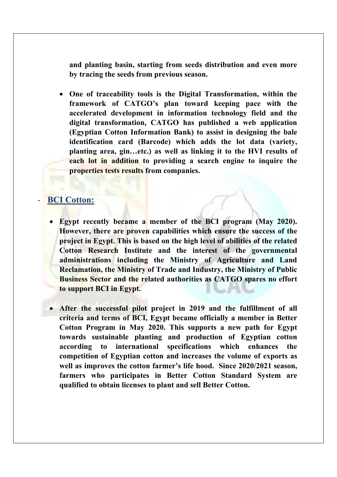**and planting basin, starting from seeds distribution and even more by tracing the seeds from previous season.** 

 **One of traceability tools is the Digital Transformation, within the framework of CATGO's plan toward keeping pace with the accelerated development in information technology field and the digital transformation, CATGO has published a web application (Egyptian Cotton Information Bank) to assist in designing the bale identification card (Barcode) which adds the lot data (variety, planting area, gin…etc.) as well as linking it to the HVI results of each lot in addition to providing a search engine to inquire the properties tests results from companies.** 

## - **BCI Cotton:**

- **Egypt recently became a member of the BCI program (May 2020). However, there are proven capabilities which ensure the success of the project in Egypt. This is based on the high level of abilities of the related Cotton Research Institute and the interest of the governmental administrations including the Ministry of Agriculture and Land Reclamation, the Ministry of Trade and Industry, the Ministry of Public Business Sector and the related authorities as CATGO spares no effort to support BCI in Egypt.**
- **After the successful pilot project in 2019 and the fulfillment of all criteria and terms of BCI, Egypt became officially a member in Better Cotton Program in May 2020. This supports a new path for Egypt towards sustainable planting and production of Egyptian cotton according to international specifications which enhances the competition of Egyptian cotton and increases the volume of exports as well as improves the cotton farmer's life hood. Since 2020/2021 season, farmers who participates in Better Cotton Standard System are qualified to obtain licenses to plant and sell Better Cotton.**